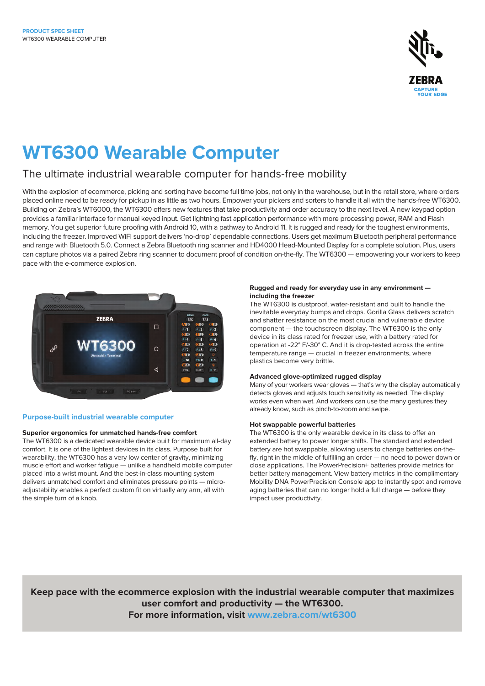

# **WT6300 Wearable Computer**

### The ultimate industrial wearable computer for hands-free mobility

With the explosion of ecommerce, picking and sorting have become full time jobs, not only in the warehouse, but in the retail store, where orders placed online need to be ready for pickup in as little as two hours. Empower your pickers and sorters to handle it all with the hands-free WT6300. Building on Zebra's WT6000, the WT6300 offers new features that take productivity and order accuracy to the next level. A new keypad option provides a familiar interface for manual keyed input. Get lightning fast application performance with more processing power, RAM and Flash memory. You get superior future proofing with Android 10, with a pathway to Android 11. It is rugged and ready for the toughest environments, including the freezer. Improved WiFi support delivers 'no-drop' dependable connections. Users get maximum Bluetooth peripheral performance and range with Bluetooth 5.0. Connect a Zebra Bluetooth ring scanner and HD4000 Head-Mounted Display for a complete solution. Plus, users can capture photos via a paired Zebra ring scanner to document proof of condition on-the-fly. The WT6300 — empowering your workers to keep pace with the e-commerce explosion.



#### **Purpose-built industrial wearable computer**

#### **Superior ergonomics for unmatched hands-free comfort**

The WT6300 is a dedicated wearable device built for maximum all-day comfort. It is one of the lightest devices in its class. Purpose built for wearability, the WT6300 has a very low center of gravity, minimizing muscle effort and worker fatigue — unlike a handheld mobile computer placed into a wrist mount. And the best-in-class mounting system delivers unmatched comfort and eliminates pressure points — microadjustability enables a perfect custom fit on virtually any arm, all with the simple turn of a knob.

#### **Rugged and ready for everyday use in any environment including the freezer**

The WT6300 is dustproof, water-resistant and built to handle the inevitable everyday bumps and drops. Gorilla Glass delivers scratch and shatter resistance on the most crucial and vulnerable device component — the touchscreen display. The WT6300 is the only device in its class rated for freezer use, with a battery rated for operation at -22° F/-30° C. And it is drop-tested across the entire temperature range — crucial in freezer environments, where plastics become very brittle.

#### **Advanced glove-optimized rugged display**

Many of your workers wear gloves — that's why the display automatically detects gloves and adjusts touch sensitivity as needed. The display works even when wet. And workers can use the many gestures they already know, such as pinch-to-zoom and swipe.

#### **Hot swappable powerful batteries**

The WT6300 is the only wearable device in its class to offer an extended battery to power longer shifts. The standard and extended battery are hot swappable, allowing users to change batteries on-thefly, right in the middle of fulfilling an order — no need to power down or close applications. The PowerPrecision+ batteries provide metrics for better battery management. View battery metrics in the complimentary Mobility DNA PowerPrecision Console app to instantly spot and remove aging batteries that can no longer hold a full charge — before they impact user productivity.

**Keep pace with the ecommerce explosion with the industrial wearable computer that maximizes user comfort and productivity — the WT6300. For more information, visit [www.zebra.com/](http://www.zebra.com/wt6300)wt6300**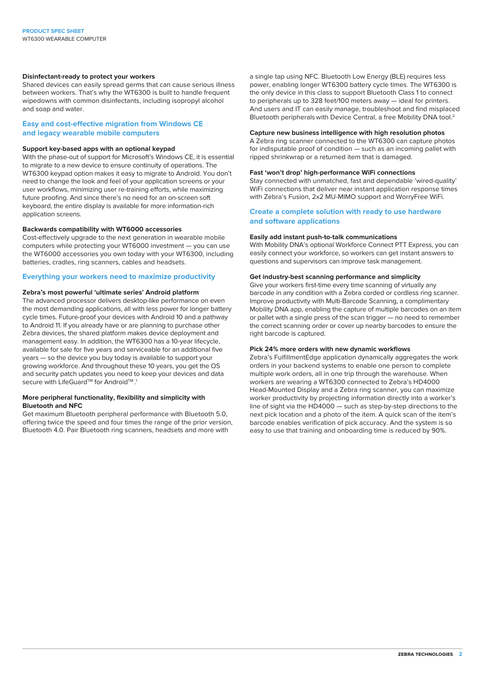#### **Disinfectant-ready to protect your workers**

Shared devices can easily spread germs that can cause serious illness between workers. That's why the WT6300 is built to handle frequent wipedowns with common disinfectants, including isopropyl alcohol and soap and water.

#### **Easy and cost-effective migration from Windows CE and legacy wearable mobile computers**

#### **Support key-based apps with an optional keypad**

With the phase-out of support for Microsoft's Windows CE, it is essential to migrate to a new device to ensure continuity of operations. The WT6300 keypad option makes it easy to migrate to Android. You don't need to change the look and feel of your application screens or your user workflows, minimizing user re-training efforts, while maximizing future proofing. And since there's no need for an on-screen soft keyboard, the entire display is available for more information-rich application screens.

#### **Backwards compatibility with WT6000 accessories**

Cost-effectively upgrade to the next generation in wearable mobile computers while protecting your WT6000 investment — you can use the WT6000 accessories you own today with your WT6300, including batteries, cradles, ring scanners, cables and headsets.

#### **Everything your workers need to maximize productivity**

#### **Zebra's most powerful 'ultimate series' Android platform**

The advanced processor delivers desktop-like performance on even the most demanding applications, all with less power for longer battery cycle times. Future-proof your devices with Android 10 and a pathway to Android 11. If you already have or are planning to purchase other Zebra devices, the shared platform makes device deployment and management easy. In addition, the WT6300 has a 10-year lifecycle, available for sale for five years and serviceable for an additional five years — so the device you buy today is available to support your growing workforce. And throughout these 10 years, you get the OS and security patch updates you need to keep your devices and data secure with LifeGuard™ for Android™.1

#### **More peripheral functionality, flexibility and simplicity with Bluetooth and NFC**

Get maximum Bluetooth peripheral performance with Bluetooth 5.0, offering twice the speed and four times the range of the prior version, Bluetooth 4.0. Pair Bluetooth ring scanners, headsets and more with

a single tap using NFC. Bluetooth Low Energy (BLE) requires less power, enabling longer WT6300 battery cycle times. The WT6300 is the only device in this class to support Bluetooth Class 1 to connect to peripherals up to 328 feet/100 meters away — ideal for printers. And users and IT can easily manage, troubleshoot and find misplaced Bluetooth peripherals with Device Central, a free Mobility DNA tool.2

#### **Capture new business intelligence with high resolution photos**

A Zebra ring scanner connected to the WT6300 can capture photos for indisputable proof of condition — such as an incoming pallet with ripped shrinkwrap or a returned item that is damaged.

#### **Fast 'won't drop' high-performance WiFi connections**

Stay connected with unmatched, fast and dependable 'wired-quality' WiFi connections that deliver near instant application response times with Zebra's Fusion, 2x2 MU-MIMO support and WorryFree WiFi.

#### **Create a complete solution with ready to use hardware and software applications**

#### **Easily add instant push-to-talk communications**

With Mobility DNA's optional Workforce Connect PTT Express, you can easily connect your workforce, so workers can get instant answers to questions and supervisors can improve task management.

#### **Get industry-best scanning performance and simplicity**

Give your workers first-time every time scanning of virtually any barcode in any condition with a Zebra corded or cordless ring scanner. Improve productivity with Multi-Barcode Scanning, a complimentary Mobility DNA app, enabling the capture of multiple barcodes on an item or pallet with a single press of the scan trigger — no need to remember the correct scanning order or cover up nearby barcodes to ensure the right barcode is captured.

#### **Pick 24% more orders with new dynamic workflows**

Zebra's FulfillmentEdge application dynamically aggregates the work orders in your backend systems to enable one person to complete multiple work orders, all in one trip through the warehouse. When workers are wearing a WT6300 connected to Zebra's HD4000 Head-Mounted Display and a Zebra ring scanner, you can maximize worker productivity by projecting information directly into a worker's line of sight via the HD4000 — such as step-by-step directions to the next pick location and a photo of the item. A quick scan of the item's barcode enables verification of pick accuracy. And the system is so easy to use that training and onboarding time is reduced by 90%.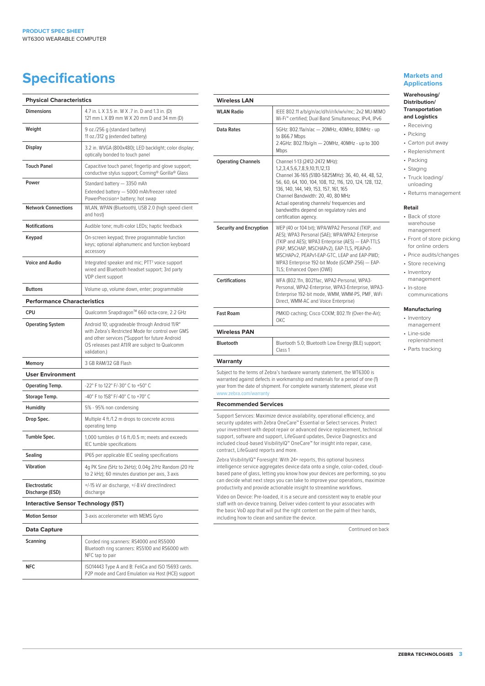## **Specifications Markets and** <br> **Specifications**

| <b>Physical Characteristics</b>            |                                                                                                                                                                                                                         |
|--------------------------------------------|-------------------------------------------------------------------------------------------------------------------------------------------------------------------------------------------------------------------------|
| <b>Dimensions</b>                          | 4.7 in. L X 3.5 in. W X .7 in. D and 1.3 in. (D)<br>121 mm L X 89 mm W X 20 mm D and 34 mm (D)                                                                                                                          |
| Weight                                     | 9 oz./256 g (standard battery)<br>11 oz./312 g (extended battery)                                                                                                                                                       |
| Display                                    | 3.2 in. WVGA (800x480); LED backlight; color display;<br>optically bonded to touch panel                                                                                                                                |
| <b>Touch Panel</b>                         | Capacitive touch panel; fingertip and glove support;<br>conductive stylus support; Corning® Gorilla® Glass                                                                                                              |
| Power                                      | Standard battery - 3350 mAh<br>Extended battery - 5000 mAh/freezer rated<br>PowerPrecision+ battery; hot swap                                                                                                           |
| <b>Network Connections</b>                 | WLAN, WPAN (Bluetooth), USB 2.0 (high speed client<br>and host)                                                                                                                                                         |
| <b>Notifications</b>                       | Audible tone; multi-color LEDs; haptic feedback                                                                                                                                                                         |
| Keypad                                     | On-screen keypad; three programmable function<br>keys; optional alphanumeric and function keyboard<br>accessory                                                                                                         |
| <b>Voice and Audio</b>                     | Integrated speaker and mic; PTT <sup>3</sup> voice support<br>wired and Bluetooth headset support; 3rd party<br>VDP client support                                                                                      |
| <b>Buttons</b>                             | Volume up, volume down, enter; programmable                                                                                                                                                                             |
| <b>Performance Characteristics</b>         |                                                                                                                                                                                                                         |
| <b>CPU</b>                                 | Qualcomm Snapdragon™ 660 octa-core, 2.2 GHz                                                                                                                                                                             |
| <b>Operating System</b>                    | Android 10; upgradeable through Android 11/R*<br>with Zebra's Restricted Mode for control over GMS<br>and other services (*Support for future Android<br>OS releases past A11/R are subject to Qualcomm<br>validation.) |
| Memory                                     | 3 GB RAM/32 GB Flash                                                                                                                                                                                                    |
| <b>User Environment</b>                    |                                                                                                                                                                                                                         |
| <b>Operating Temp.</b>                     | -22° F to 122° F/-30° C to +50° C                                                                                                                                                                                       |
| Storage Temp.                              | -40° F to 158° F/-40° C to +70° C                                                                                                                                                                                       |
| <b>Humidity</b>                            | 5% - 95% non condensing                                                                                                                                                                                                 |
| Drop Spec.                                 | Multiple 4 ft./1.2 m drops to concrete across<br>operating temp                                                                                                                                                         |
| Tumble Spec.                               | 1,000 tumbles @ 1.6 ft./0.5 m; meets and exceeds<br>IEC tumble specifications                                                                                                                                           |
| Sealing                                    | IP65 per applicable IEC sealing specifications                                                                                                                                                                          |
| <b>Vibration</b>                           | 4g PK Sine (5Hz to 2kHz); 0.04g 2/Hz Random (20 Hz<br>to 2 kHz); 60 minutes duration per axis, 3 axis                                                                                                                   |
| Electrostatic<br>Discharge (ESD)           | +/-15 kV air discharge, +/-8 kV direct/indirect<br>discharge                                                                                                                                                            |
| <b>Interactive Sensor Technology (IST)</b> |                                                                                                                                                                                                                         |
| <b>Motion Sensor</b>                       | 3-axis accelerometer with MEMS Gyro                                                                                                                                                                                     |
| Data Capture                               |                                                                                                                                                                                                                         |
| Scanning                                   | Corded ring scanners: RS4000 and RS5000<br>Bluetooth ring scanners: RS5100 and RS6000 with<br>NFC tap to pair                                                                                                           |

**NFC** ISO14443 Type A and B: FeliCa and ISO 15693 cards.

P2P mode and Card Emulation via Host (HCE) support

| <b>Wireless LAN</b>            |                                                                                                                                                                                                                                                                                                                                                                                     |
|--------------------------------|-------------------------------------------------------------------------------------------------------------------------------------------------------------------------------------------------------------------------------------------------------------------------------------------------------------------------------------------------------------------------------------|
| <b>WLAN Radio</b>              | IEEE 802.11 a/b/g/n/ac/d/h/i/r/k/w/v/mc; 2x2 MU-MIMO<br>Wi-Fi <sup>"</sup> certified; Dual Band Simultaneous; IPv4, IPv6                                                                                                                                                                                                                                                            |
| Data Rates                     | 5GHz: 802.11a/n/ac - 20MHz, 40MHz, 80MHz - up<br>to 866.7 Mbps<br>2.4GHz: 802.11b/g/n - 20MHz, 40MHz - up to 300<br>Mbps                                                                                                                                                                                                                                                            |
| <b>Operating Channels</b>      | Channel 1-13 (2412-2472 MHz):<br>1,2,3,4,5,6,7,8,9,10,11,12,13<br>Channel 36-165 (5180-5825MHz): 36, 40, 44, 48, 52,<br>56, 60, 64, 100, 104, 108, 112, 116, 120, 124, 128, 132,<br>136, 140, 144, 149, 153, 157, 161, 165<br>Channel Bandwidth: 20, 40, 80 MHz<br>Actual operating channels/ frequencies and<br>bandwidths depend on regulatory rules and<br>certification agency. |
| <b>Security and Encryption</b> | WEP (40 or 104 bit); WPA/WPA2 Personal (TKIP, and<br>AES); WPA3 Personal (SAE); WPA/WPA2 Enterprise<br>(TKIP and AES); WPA3 Enterprise (AES) - EAP-TTLS<br>(PAP, MSCHAP, MSCHAPv2), EAP-TLS, PEAPv0-<br>MSCHAPv2, PEAPv1-EAP-GTC, LEAP and EAP-PWD;<br>WPA3 Enterprise 192-bit Mode (GCMP-256) - EAP-<br>TLS; Enhanced Open (OWE)                                                   |
| <b>Certifications</b>          | WFA (802.11n, 80211ac, WPA2-Personal, WPA3-<br>Personal, WPA2-Enterprise, WPA3-Enterprise, WPA3-<br>Enterprise 192-bit mode, WMM, WMM-PS, PMF, WiFi<br>Direct, WMM-AC and Voice Enterprise)                                                                                                                                                                                         |
| <b>Fast Roam</b>               | PMKID caching; Cisco CCKM; 802.11r (Over-the-Air);<br>OKC                                                                                                                                                                                                                                                                                                                           |
| <b>Wireless PAN</b>            |                                                                                                                                                                                                                                                                                                                                                                                     |
| Bluetooth                      | Bluetooth 5.0; Bluetooth Low Energy (BLE) support;<br>Class 1                                                                                                                                                                                                                                                                                                                       |

#### **Warranty**

Subject to the terms of Zebra's hardware warranty statement, the WT6300 is warranted against defects in workmanship and materials for a period of one (1) year from the date of shipment. For complete warranty statement, please visit w.zebra.com

#### **Recommended Services**

Support Services: Maximize device availability, operational efficiency, and security updates with Zebra OneCare™ Essential or Select services. Protect your investment with depot repair or advanced device replacement, technical support, software and support, LifeGuard updates, Device Diagnostics and included cloud-based VisibilityIQ™ OneCare™ for insight into repair, case, contract, LifeGuard reports and more.

Zebra VisibilityIQ™ Foresight: With 24+ reports, this optional business intelligence service aggregates device data onto a single, color-coded, cloudbased pane of glass, letting you know how your devices are performing, so you can decide what next steps you can take to improve your operations, maximize productivity and provide actionable insight to streamline workflows.

Video on Device: Pre-loaded, it is a secure and consistent way to enable your staff with on-device training. Deliver video content to your associates with the basic VoD app that will put the right content on the palm of their hands, including how to clean and sanitize the device.

Continued on back

## **Applications**

#### **Warehousing/ Distribution/ Transportation**

- **and Logistics Receiving**
- 
- <sup>P</sup>icking
- Carton put away • Replenishment
- •<br>Packing
- Staging
- **Fruck loading/**
- unloading
- Returns management

#### **Retail**

- Back of store warehouse management
- Front of store picking or online orders
- Price audits/changes
- Store receiving nventory
- management
- n-store communications

#### **Manufacturing**

- nventory management
- Line-side
- replenishment
- Parts tracking